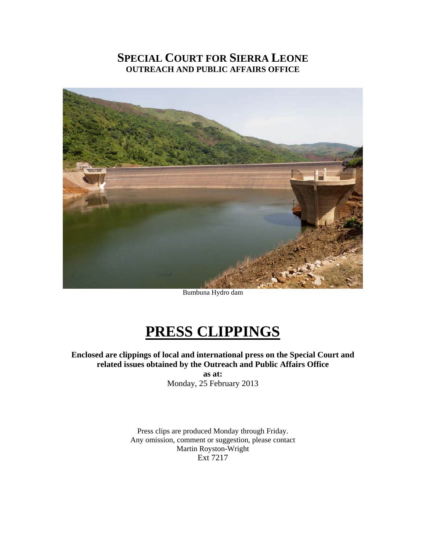# **SPECIAL COURT FOR SIERRA LEONE OUTREACH AND PUBLIC AFFAIRS OFFICE**



Bumbuna Hydro dam

# **PRESS CLIPPINGS**

**Enclosed are clippings of local and international press on the Special Court and related issues obtained by the Outreach and Public Affairs Office as at:**  Monday, 25 February 2013

> Press clips are produced Monday through Friday. Any omission, comment or suggestion, please contact Martin Royston-Wright Ext 7217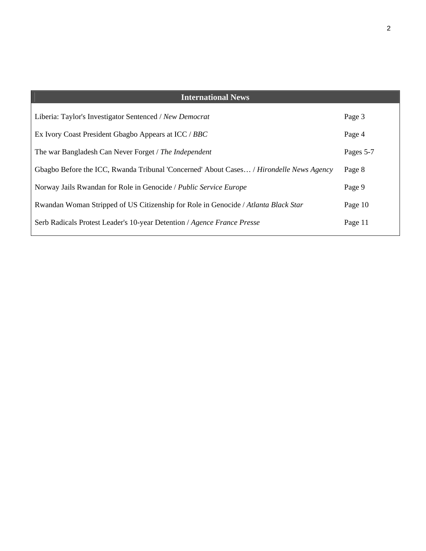| <b>International News</b>                                                                      |           |
|------------------------------------------------------------------------------------------------|-----------|
| Liberia: Taylor's Investigator Sentenced / New Democrat                                        | Page 3    |
| Ex Ivory Coast President Gbagbo Appears at ICC / BBC                                           | Page 4    |
| The war Bangladesh Can Never Forget / The Independent                                          | Pages 5-7 |
| Gbagbo Before the ICC, Rwanda Tribunal 'Concerned' About Cases / <i>Hirondelle News Agency</i> | Page 8    |
| Norway Jails Rwandan for Role in Genocide / Public Service Europe                              | Page 9    |
| Rwandan Woman Stripped of US Citizenship for Role in Genocide / Atlanta Black Star             | Page 10   |
| Serb Radicals Protest Leader's 10-year Detention / Agence France Presse                        | Page 11   |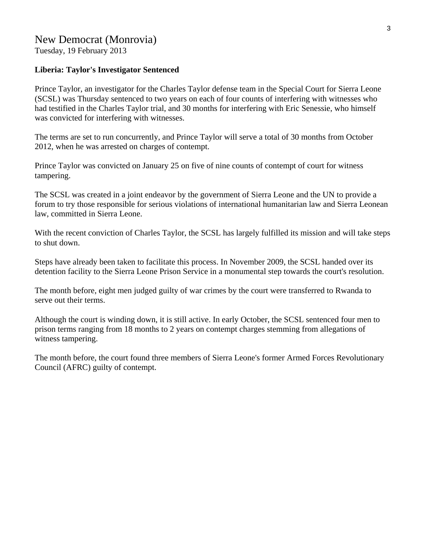# New Democrat (Monrovia)

Tuesday, 19 February 2013

#### **Liberia: Taylor's Investigator Sentenced**

Prince Taylor, an investigator for the Charles Taylor defense team in the Special Court for Sierra Leone (SCSL) was Thursday sentenced to two years on each of four counts of interfering with witnesses who had testified in the Charles Taylor trial, and 30 months for interfering with Eric Senessie, who himself was convicted for interfering with witnesses.

The terms are set to run concurrently, and Prince Taylor will serve a total of 30 months from October 2012, when he was arrested on charges of contempt.

Prince Taylor was convicted on January 25 on five of nine counts of contempt of court for witness tampering.

The SCSL was created in a joint endeavor by the government of Sierra Leone and the UN to provide a forum to try those responsible for serious violations of international humanitarian law and Sierra Leonean law, committed in Sierra Leone.

With the recent conviction of Charles Taylor, the SCSL has largely fulfilled its mission and will take steps to shut down.

Steps have already been taken to facilitate this process. In November 2009, the SCSL handed over its detention facility to the Sierra Leone Prison Service in a monumental step towards the court's resolution.

The month before, eight men judged guilty of war crimes by the court were transferred to Rwanda to serve out their terms.

Although the court is winding down, it is still active. In early October, the SCSL sentenced four men to prison terms ranging from 18 months to 2 years on contempt charges stemming from allegations of witness tampering.

The month before, the court found three members of Sierra Leone's former Armed Forces Revolutionary Council (AFRC) guilty of contempt.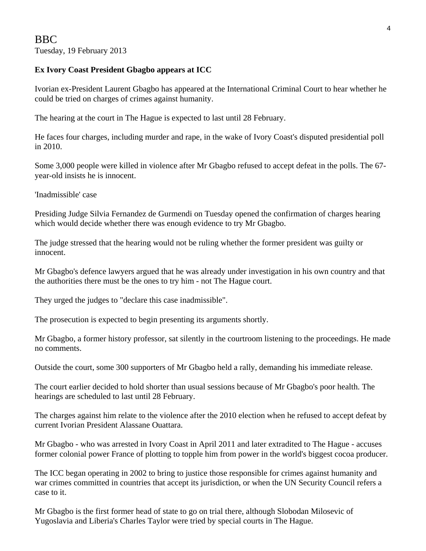# **Ex Ivory Coast President Gbagbo appears at ICC**

Ivorian ex-President Laurent Gbagbo has appeared at the International Criminal Court to hear whether he could be tried on charges of crimes against humanity.

The hearing at the court in The Hague is expected to last until 28 February.

He faces four charges, including murder and rape, in the wake of Ivory Coast's disputed presidential poll in 2010.

Some 3,000 people were killed in violence after Mr Gbagbo refused to accept defeat in the polls. The 67 year-old insists he is innocent.

'Inadmissible' case

Presiding Judge Silvia Fernandez de Gurmendi on Tuesday opened the confirmation of charges hearing which would decide whether there was enough evidence to try Mr Gbagbo.

The judge stressed that the hearing would not be ruling whether the former president was guilty or innocent.

Mr Gbagbo's defence lawyers argued that he was already under investigation in his own country and that the authorities there must be the ones to try him - not The Hague court.

They urged the judges to "declare this case inadmissible".

The prosecution is expected to begin presenting its arguments shortly.

Mr Gbagbo, a former history professor, sat silently in the courtroom listening to the proceedings. He made no comments.

Outside the court, some 300 supporters of Mr Gbagbo held a rally, demanding his immediate release.

The court earlier decided to hold shorter than usual sessions because of Mr Gbagbo's poor health. The hearings are scheduled to last until 28 February.

The charges against him relate to the violence after the 2010 election when he refused to accept defeat by current Ivorian President Alassane Ouattara.

Mr Gbagbo - who was arrested in Ivory Coast in April 2011 and later extradited to The Hague - accuses former colonial power France of plotting to topple him from power in the world's biggest cocoa producer.

The ICC began operating in 2002 to bring to justice those responsible for crimes against humanity and war crimes committed in countries that accept its jurisdiction, or when the UN Security Council refers a case to it.

Mr Gbagbo is the first former head of state to go on trial there, although Slobodan Milosevic of Yugoslavia and Liberia's Charles Taylor were tried by special courts in The Hague.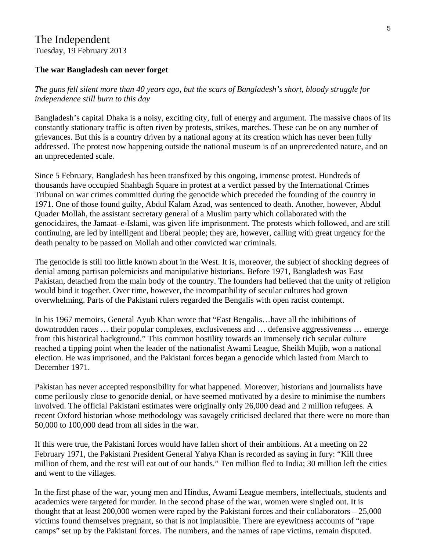# The Independent Tuesday, 19 February 2013

#### **The war Bangladesh can never forget**

### *The guns fell silent more than 40 years ago, but the scars of Bangladesh's short, bloody struggle for independence still burn to this day*

Bangladesh's capital Dhaka is a noisy, exciting city, full of energy and argument. The massive chaos of its constantly stationary traffic is often riven by protests, strikes, marches. These can be on any number of grievances. But this is a country driven by a national agony at its creation which has never been fully addressed. The protest now happening outside the national museum is of an unprecedented nature, and on an unprecedented scale.

Since 5 February, Bangladesh has been transfixed by this ongoing, immense protest. Hundreds of thousands have occupied Shahbagh Square in protest at a verdict passed by the International Crimes Tribunal on war crimes committed during the genocide which preceded the founding of the country in 1971. One of those found guilty, Abdul Kalam Azad, was sentenced to death. Another, however, Abdul Quader Mollah, the assistant secretary general of a Muslim party which collaborated with the genocidaires, the Jamaat–e-Islami, was given life imprisonment. The protests which followed, and are still continuing, are led by intelligent and liberal people; they are, however, calling with great urgency for the death penalty to be passed on Mollah and other convicted war criminals.

The genocide is still too little known about in the West. It is, moreover, the subject of shocking degrees of denial among partisan polemicists and manipulative historians. Before 1971, Bangladesh was East Pakistan, detached from the main body of the country. The founders had believed that the unity of religion would bind it together. Over time, however, the incompatibility of secular cultures had grown overwhelming. Parts of the Pakistani rulers regarded the Bengalis with open racist contempt.

In his 1967 memoirs, General Ayub Khan wrote that "East Bengalis…have all the inhibitions of downtrodden races … their popular complexes, exclusiveness and … defensive aggressiveness … emerge from this historical background." This common hostility towards an immensely rich secular culture reached a tipping point when the leader of the nationalist Awami League, Sheikh Mujib, won a national election. He was imprisoned, and the Pakistani forces began a genocide which lasted from March to December 1971.

Pakistan has never accepted responsibility for what happened. Moreover, historians and journalists have come perilously close to genocide denial, or have seemed motivated by a desire to minimise the numbers involved. The official Pakistani estimates were originally only 26,000 dead and 2 million refugees. A recent Oxford historian whose methodology was savagely criticised declared that there were no more than 50,000 to 100,000 dead from all sides in the war.

If this were true, the Pakistani forces would have fallen short of their ambitions. At a meeting on 22 February 1971, the Pakistani President General Yahya Khan is recorded as saying in fury: "Kill three million of them, and the rest will eat out of our hands." Ten million fled to India; 30 million left the cities and went to the villages.

In the first phase of the war, young men and Hindus, Awami League members, intellectuals, students and academics were targeted for murder. In the second phase of the war, women were singled out. It is thought that at least 200,000 women were raped by the Pakistani forces and their collaborators – 25,000 victims found themselves pregnant, so that is not implausible. There are eyewitness accounts of "rape camps" set up by the Pakistani forces. The numbers, and the names of rape victims, remain disputed.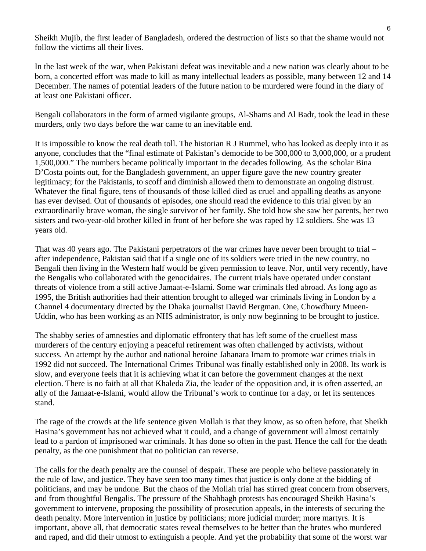Sheikh Mujib, the first leader of Bangladesh, ordered the destruction of lists so that the shame would not follow the victims all their lives.

In the last week of the war, when Pakistani defeat was inevitable and a new nation was clearly about to be born, a concerted effort was made to kill as many intellectual leaders as possible, many between 12 and 14 December. The names of potential leaders of the future nation to be murdered were found in the diary of at least one Pakistani officer.

Bengali collaborators in the form of armed vigilante groups, Al-Shams and Al Badr, took the lead in these murders, only two days before the war came to an inevitable end.

It is impossible to know the real death toll. The historian R J Rummel, who has looked as deeply into it as anyone, concludes that the "final estimate of Pakistan's democide to be 300,000 to 3,000,000, or a prudent 1,500,000." The numbers became politically important in the decades following. As the scholar Bina D'Costa points out, for the Bangladesh government, an upper figure gave the new country greater legitimacy; for the Pakistanis, to scoff and diminish allowed them to demonstrate an ongoing distrust. Whatever the final figure, tens of thousands of those killed died as cruel and appalling deaths as anyone has ever devised. Out of thousands of episodes, one should read the evidence to this trial given by an extraordinarily brave woman, the single survivor of her family. She told how she saw her parents, her two sisters and two-year-old brother killed in front of her before she was raped by 12 soldiers. She was 13 years old.

That was 40 years ago. The Pakistani perpetrators of the war crimes have never been brought to trial – after independence, Pakistan said that if a single one of its soldiers were tried in the new country, no Bengali then living in the Western half would be given permission to leave. Nor, until very recently, have the Bengalis who collaborated with the genocidaires. The current trials have operated under constant threats of violence from a still active Jamaat-e-Islami. Some war criminals fled abroad. As long ago as 1995, the British authorities had their attention brought to alleged war criminals living in London by a Channel 4 documentary directed by the Dhaka journalist David Bergman. One, Chowdhury Mueen-Uddin, who has been working as an NHS administrator, is only now beginning to be brought to justice.

The shabby series of amnesties and diplomatic effrontery that has left some of the cruellest mass murderers of the century enjoying a peaceful retirement was often challenged by activists, without success. An attempt by the author and national heroine Jahanara Imam to promote war crimes trials in 1992 did not succeed. The International Crimes Tribunal was finally established only in 2008. Its work is slow, and everyone feels that it is achieving what it can before the government changes at the next election. There is no faith at all that Khaleda Zia, the leader of the opposition and, it is often asserted, an ally of the Jamaat-e-Islami, would allow the Tribunal's work to continue for a day, or let its sentences stand.

The rage of the crowds at the life sentence given Mollah is that they know, as so often before, that Sheikh Hasina's government has not achieved what it could, and a change of government will almost certainly lead to a pardon of imprisoned war criminals. It has done so often in the past. Hence the call for the death penalty, as the one punishment that no politician can reverse.

The calls for the death penalty are the counsel of despair. These are people who believe passionately in the rule of law, and justice. They have seen too many times that justice is only done at the bidding of politicians, and may be undone. But the chaos of the Mollah trial has stirred great concern from observers, and from thoughtful Bengalis. The pressure of the Shahbagh protests has encouraged Sheikh Hasina's government to intervene, proposing the possibility of prosecution appeals, in the interests of securing the death penalty. More intervention in justice by politicians; more judicial murder; more martyrs. It is important, above all, that democratic states reveal themselves to be better than the brutes who murdered and raped, and did their utmost to extinguish a people. And yet the probability that some of the worst war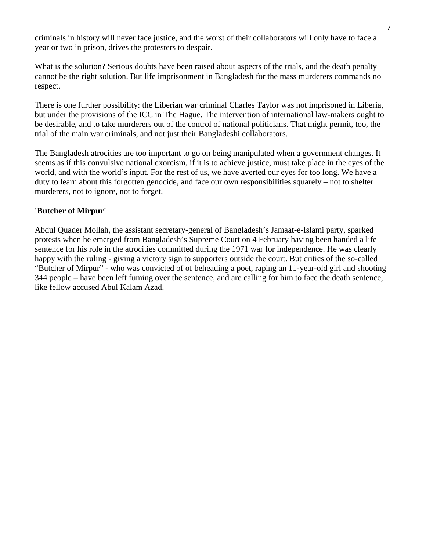criminals in history will never face justice, and the worst of their collaborators will only have to face a year or two in prison, drives the protesters to despair.

What is the solution? Serious doubts have been raised about aspects of the trials, and the death penalty cannot be the right solution. But life imprisonment in Bangladesh for the mass murderers commands no respect.

There is one further possibility: the Liberian war criminal Charles Taylor was not imprisoned in Liberia, but under the provisions of the ICC in The Hague. The intervention of international law-makers ought to be desirable, and to take murderers out of the control of national politicians. That might permit, too, the trial of the main war criminals, and not just their Bangladeshi collaborators.

The Bangladesh atrocities are too important to go on being manipulated when a government changes. It seems as if this convulsive national exorcism, if it is to achieve justice, must take place in the eyes of the world, and with the world's input. For the rest of us, we have averted our eyes for too long. We have a duty to learn about this forgotten genocide, and face our own responsibilities squarely – not to shelter murderers, not to ignore, not to forget.

### **'Butcher of Mirpur'**

Abdul Quader Mollah, the assistant secretary-general of Bangladesh's Jamaat-e-Islami party, sparked protests when he emerged from Bangladesh's Supreme Court on 4 February having been handed a life sentence for his role in the atrocities committed during the 1971 war for independence. He was clearly happy with the ruling - giving a victory sign to supporters outside the court. But critics of the so-called "Butcher of Mirpur" - who was convicted of of beheading a poet, raping an 11-year-old girl and shooting 344 people – have been left fuming over the sentence, and are calling for him to face the death sentence, like fellow accused Abul Kalam Azad.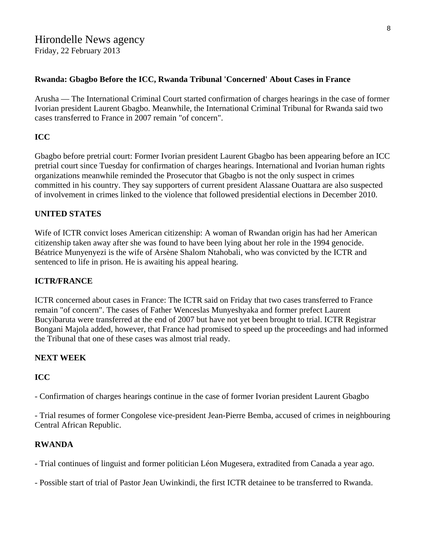# Hirondelle News agency Friday, 22 February 2013

### **Rwanda: Gbagbo Before the ICC, Rwanda Tribunal 'Concerned' About Cases in France**

Arusha — The International Criminal Court started confirmation of charges hearings in the case of former Ivorian president Laurent Gbagbo. Meanwhile, the International Criminal Tribunal for Rwanda said two cases transferred to France in 2007 remain "of concern".

## **ICC**

Gbagbo before pretrial court: Former Ivorian president Laurent Gbagbo has been appearing before an ICC pretrial court since Tuesday for confirmation of charges hearings. International and Ivorian human rights organizations meanwhile reminded the Prosecutor that Gbagbo is not the only suspect in crimes committed in his country. They say supporters of current president Alassane Ouattara are also suspected of involvement in crimes linked to the violence that followed presidential elections in December 2010.

### **UNITED STATES**

Wife of ICTR convict loses American citizenship: A woman of Rwandan origin has had her American citizenship taken away after she was found to have been lying about her role in the 1994 genocide. Béatrice Munyenyezi is the wife of Arsène Shalom Ntahobali, who was convicted by the ICTR and sentenced to life in prison. He is awaiting his appeal hearing.

# **ICTR/FRANCE**

ICTR concerned about cases in France: The ICTR said on Friday that two cases transferred to France remain "of concern". The cases of Father Wenceslas Munyeshyaka and former prefect Laurent Bucyibaruta were transferred at the end of 2007 but have not yet been brought to trial. ICTR Registrar Bongani Majola added, however, that France had promised to speed up the proceedings and had informed the Tribunal that one of these cases was almost trial ready.

# **NEXT WEEK**

#### **ICC**

- Confirmation of charges hearings continue in the case of former Ivorian president Laurent Gbagbo

- Trial resumes of former Congolese vice-president Jean-Pierre Bemba, accused of crimes in neighbouring Central African Republic.

#### **RWANDA**

- Trial continues of linguist and former politician Léon Mugesera, extradited from Canada a year ago.

- Possible start of trial of Pastor Jean Uwinkindi, the first ICTR detainee to be transferred to Rwanda.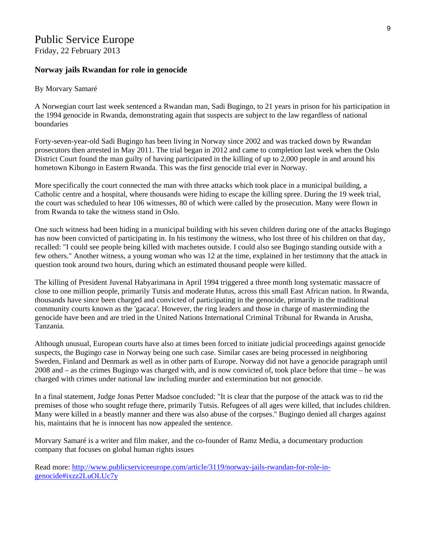# Public Service Europe

Friday, 22 February 2013

#### **Norway jails Rwandan for role in genocide**

#### By Morvary Samaré

A Norwegian court last week sentenced a Rwandan man, Sadi Bugingo, to 21 years in prison for his participation in the 1994 genocide in Rwanda, demonstrating again that suspects are subject to the law regardless of national boundaries

Forty-seven-year-old Sadi Bugingo has been living in Norway since 2002 and was tracked down by Rwandan prosecutors then arrested in May 2011. The trial began in 2012 and came to completion last week when the Oslo District Court found the man guilty of having participated in the killing of up to 2,000 people in and around his hometown Kibungo in Eastern Rwanda. This was the first genocide trial ever in Norway.

More specifically the court connected the man with three attacks which took place in a municipal building, a Catholic centre and a hospital, where thousands were hiding to escape the killing spree. During the 19 week trial, the court was scheduled to hear 106 witnesses, 80 of which were called by the prosecution. Many were flown in from Rwanda to take the witness stand in Oslo.

One such witness had been hiding in a municipal building with his seven children during one of the attacks Bugingo has now been convicted of participating in. In his testimony the witness, who lost three of his children on that day, recalled: "I could see people being killed with machetes outside. I could also see Bugingo standing outside with a few others." Another witness, a young woman who was 12 at the time, explained in her testimony that the attack in question took around two hours, during which an estimated thousand people were killed.

The killing of President Juvenal Habyarimana in April 1994 triggered a three month long systematic massacre of close to one million people, primarily Tutsis and moderate Hutus, across this small East African nation. In Rwanda, thousands have since been charged and convicted of participating in the genocide, primarily in the traditional community courts known as the 'gacaca'. However, the ring leaders and those in charge of masterminding the genocide have been and are tried in the United Nations International Criminal Tribunal for Rwanda in Arusha, Tanzania.

Although unusual, European courts have also at times been forced to initiate judicial proceedings against genocide suspects, the Bugingo case in Norway being one such case. Similar cases are being processed in neighboring Sweden, Finland and Denmark as well as in other parts of Europe. Norway did not have a genocide paragraph until 2008 and – as the crimes Bugingo was charged with, and is now convicted of, took place before that time – he was charged with crimes under national law including murder and extermination but not genocide.

In a final statement, Judge Jonas Petter Madsoe concluded: "It is clear that the purpose of the attack was to rid the premises of those who sought refuge there, primarily Tutsis. Refugees of all ages were killed, that includes children. Many were killed in a beastly manner and there was also abuse of the corpses.'' Bugingo denied all charges against his, maintains that he is innocent has now appealed the sentence.

Morvary Samaré is a writer and film maker, and the co-founder of Ramz Media, a documentary production company that focuses on global human rights issues

Read more: [http://www.publicserviceeurope.com/article/3119/norway-jails-rwandan-for-role-in](http://www.publicserviceeurope.com/article/3119/norway-jails-rwandan-for-role-in-genocide#ixzz2LuOLUc7y)[genocide#ixzz2LuOLUc7y](http://www.publicserviceeurope.com/article/3119/norway-jails-rwandan-for-role-in-genocide#ixzz2LuOLUc7y)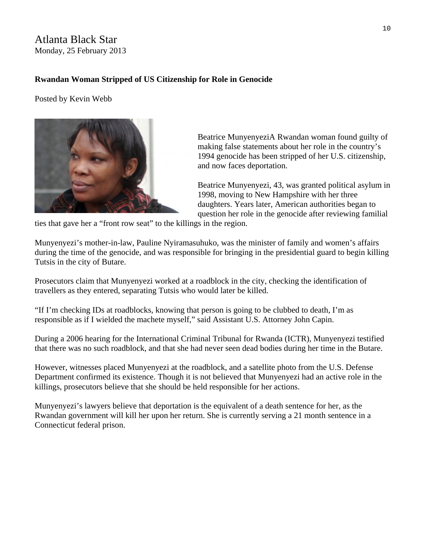# Atlanta Black Star Monday, 25 February 2013

# **Rwandan Woman Stripped of US Citizenship for Role in Genocide**

Posted by Kevin Webb



Beatrice MunyenyeziA Rwandan woman found guilty of making false statements about her role in the country's 1994 genocide has been stripped of her U.S. citizenship, and now faces deportation.

Beatrice Munyenyezi, 43, was granted political asylum in 1998, moving to New Hampshire with her three daughters. Years later, American authorities began to question her role in the genocide after reviewing familial

ties that gave her a "front row seat" to the killings in the region.

Munyenyezi's mother-in-law, Pauline Nyiramasuhuko, was the minister of family and women's affairs during the time of the genocide, and was responsible for bringing in the presidential guard to begin killing Tutsis in the city of Butare.

Prosecutors claim that Munyenyezi worked at a roadblock in the city, checking the identification of travellers as they entered, separating Tutsis who would later be killed.

"If I'm checking IDs at roadblocks, knowing that person is going to be clubbed to death, I'm as responsible as if I wielded the machete myself," said Assistant U.S. Attorney John Capin.

During a 2006 hearing for the International Criminal Tribunal for Rwanda (ICTR), Munyenyezi testified that there was no such roadblock, and that she had never seen dead bodies during her time in the Butare.

However, witnesses placed Munyenyezi at the roadblock, and a satellite photo from the U.S. Defense Department confirmed its existence. Though it is not believed that Munyenyezi had an active role in the killings, prosecutors believe that she should be held responsible for her actions.

Munyenyezi's lawyers believe that deportation is the equivalent of a death sentence for her, as the Rwandan government will kill her upon her return. She is currently serving a 21 month sentence in a Connecticut federal prison.